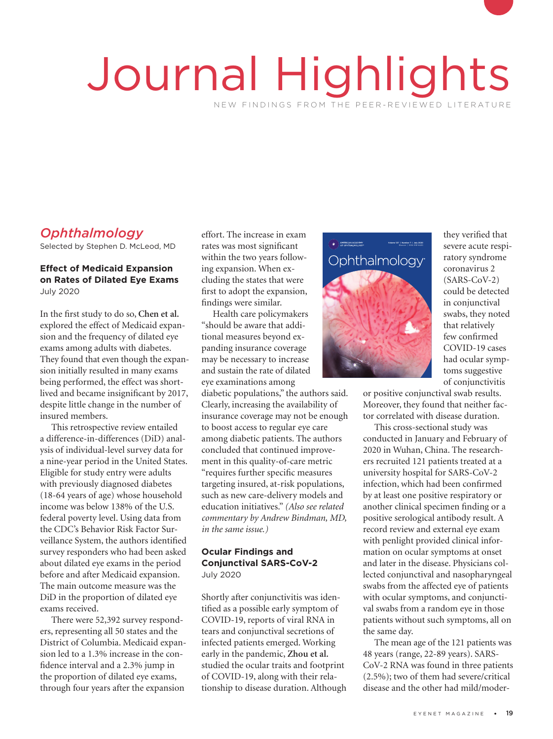# Journal Highlights NEW FINDINGS FROM THE PEER-REVIEWED LITERATURE

# *Ophthalmology*

Selected by Stephen D. McLeod, MD

## **Effect of Medicaid Expansion on Rates of Dilated Eye Exams**  July 2020

In the first study to do so, **Chen et al.**  explored the effect of Medicaid expansion and the frequency of dilated eye exams among adults with diabetes. They found that even though the expansion initially resulted in many exams being performed, the effect was shortlived and became insignificant by 2017, despite little change in the number of insured members.

This retrospective review entailed a difference-in-differences (DiD) analysis of individual-level survey data for a nine-year period in the United States. Eligible for study entry were adults with previously diagnosed diabetes (18-64 years of age) whose household income was below 138% of the U.S. federal poverty level. Using data from the CDC's Behavior Risk Factor Surveillance System, the authors identified survey responders who had been asked about dilated eye exams in the period before and after Medicaid expansion. The main outcome measure was the DiD in the proportion of dilated eye exams received.

There were 52,392 survey responders, representing all 50 states and the District of Columbia. Medicaid expansion led to a 1.3% increase in the confidence interval and a 2.3% jump in the proportion of dilated eye exams, through four years after the expansion

effort. The increase in exam rates was most significant within the two years following expansion. When excluding the states that were first to adopt the expansion, findings were similar. t to adopt the expansion,<br>dings were similar.<br>Health care policymakers

"should be aware that additional measures beyond expanding insurance coverage may be necessary to increase and sustain the rate of dilated eye examinations among **Example 1 PHT** 

diabetic populations," the authors said. Clearly, increasing the availability of insurance coverage may not be enough to boost access to regular eye care among diabetic patients. The authors concluded that continued improvement in this quality-of-care metric "requires further specific measures targeting insured, at-risk populations, such as new care-delivery models and education initiatives." *(Also see related commentary by Andrew Bindman, MD, in the same issue.)*

## **Ocular Findings and Conjunctival SARS-CoV-2** July 2020

Shortly after conjunctivitis was identified as a possible early symptom of COVID-19, reports of viral RNA in tears and conjunctival secretions of infected patients emerged. Working early in the pandemic, **Zhou et al.**  studied the ocular traits and footprint of COVID-19, along with their relationship to disease duration. Although



they verified that severe acute respiratory syndrome coronavirus 2 (SARS-CoV-2) could be detected in conjunctival swabs, they noted that relatively few confirmed COVID-19 cases had ocular symptoms suggestive of conjunctivitis

or positive conjunctival swab results. Moreover, they found that neither factor correlated with disease duration.

This cross-sectional study was conducted in January and February of 2020 in Wuhan, China. The researchers recruited 121 patients treated at a university hospital for SARS-CoV-2 infection, which had been confirmed by at least one positive respiratory or another clinical specimen finding or a positive serological antibody result. A record review and external eye exam with penlight provided clinical information on ocular symptoms at onset and later in the disease. Physicians collected conjunctival and nasopharyngeal swabs from the affected eye of patients with ocular symptoms, and conjunctival swabs from a random eye in those patients without such symptoms, all on the same day.

The mean age of the 121 patients was 48 years (range, 22-89 years). SARS-CoV-2 RNA was found in three patients (2.5%); two of them had severe/critical disease and the other had mild/moder-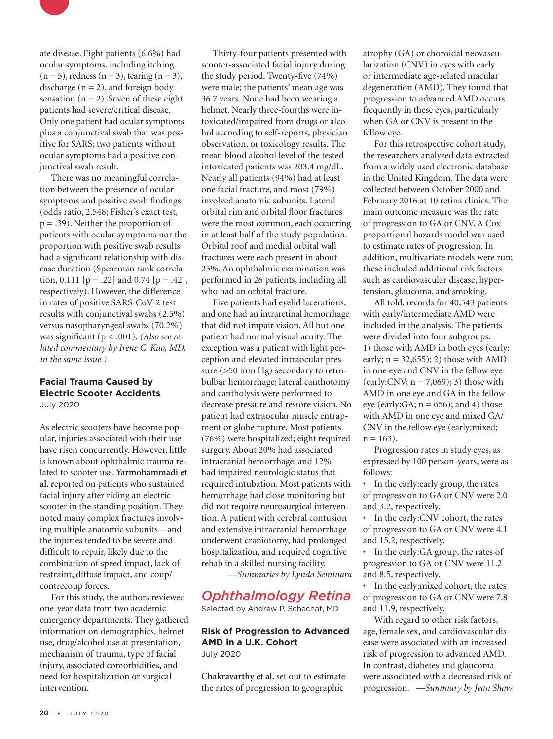

ate disease. Eight patients (6.6%) had ocular symptoms, including itching  $(n = 5)$ , redness  $(n = 3)$ , tearing  $(n = 3)$ , discharge  $(n = 2)$ , and foreign body sensation ( $n = 2$ ). Seven of these eight patients had severe/critical disease. Only one patient had ocular symptoms plus a conjunctival swab that was positive for SARS; two patients without ocular symptoms had a positive conjunctival swab result.

There was no meaningful correlation between the presence of ocular symptoms and positive swab findings (odds ratio, 2.548; Fisher's exact test,  $p = .39$ ). Neither the proportion of patients with ocular symptoms nor the proportion with positive swab results had a significant relationship with disease duration (Spearman rank correlation, 0.111  $[p = .22]$  and 0.74  $[p = .42]$ , respectively). However, the difference in rates of positive SARS-CoV-2 test results with conjunctival swabs (2.5%) versus nasopharyngeal swabs (70.2%) was significant (p < .001). *(Also see related commentary by Irene C. Kuo, MD, in the same issue.)*

#### **Facial Trauma Caused by Electric Scooter Accidents** July 2020

As electric scooters have become popular, injuries associated with their use have risen concurrently. However, little is known about ophthalmic trauma related to scooter use. **Yarmohammadi et al. r**eported on patients who sustained facial injury after riding an electric scooter in the standing position. They noted many complex fractures involving multiple anatomic subunits—and the injuries tended to be severe and difficult to repair, likely due to the combination of speed impact, lack of restraint, diffuse impact, and coup/ contrecoup forces.

For this study, the authors reviewed one-year data from two academic emergency departments. They gathered information on demographics, helmet use, drug/alcohol use at presentation, mechanism of trauma, type of facial injury, associated comorbidities, and need for hospitalization or surgical intervention.

Thirty-four patients presented with scooter-associated facial injury during the study period. Twenty-five (74%) were male; the patients' mean age was 36.7 years. None had been wearing a helmet. Nearly three-fourths were intoxicated/impaired from drugs or alcohol according to self-reports, physician observation, or toxicology results. The mean blood alcohol level of the tested intoxicated patients was 203.4 mg/dL. Nearly all patients (94%) had at least one facial fracture, and most (79%) involved anatomic subunits. Lateral orbital rim and orbital floor fractures were the most common, each occurring in at least half of the study population. Orbital roof and medial orbital wall fractures were each present in about 25%. An ophthalmic examination was performed in 26 patients, including all who had an orbital fracture.

Five patients had eyelid lacerations, and one had an intraretinal hemorrhage that did not impair vision. All but one patient had normal visual acuity. The exception was a patient with light perception and elevated intraocular pressure (>50 mm Hg) secondary to retrobulbar hemorrhage; lateral canthotomy and cantholysis were performed to decrease pressure and restore vision. No patient had extraocular muscle entrapment or globe rupture. Most patients (76%) were hospitalized; eight required surgery. About 20% had associated intracranial hemorrhage, and 12% had impaired neurologic status that required intubation. Most patients with hemorrhage had close monitoring but did not require neurosurgical intervention. A patient with cerebral contusion and extensive intracranial hemorrhage underwent craniotomy, had prolonged hospitalization, and required cognitive rehab in a skilled nursing facility.

*—Summaries by Lynda Seminara*

# *Ophthalmology Retina*

Selected by Andrew P. Schachat, MD

### **Risk of Progression to Advanced AMD in a U.K. Cohort** July 2020

**Chakravarthy et al.** set out to estimate the rates of progression to geographic

atrophy (GA) or choroidal neovascularization (CNV) in eyes with early or intermediate age-related macular degeneration (AMD). They found that progression to advanced AMD occurs frequently in these eyes, particularly when GA or CNV is present in the fellow eye.

For this retrospective cohort study, the researchers analyzed data extracted from a widely used electronic database in the United Kingdom. The data were collected between October 2000 and February 2016 at 10 retina clinics. The main outcome measure was the rate of progression to GA or CNV. A Cox proportional hazards model was used to estimate rates of progression. In addition, multivariate models were run; these included additional risk factors such as cardiovascular disease, hypertension, glaucoma, and smoking.

All told, records for 40,543 patients with early/intermediate AMD were included in the analysis. The patients were divided into four subgroups: 1) those with AMD in both eyes (early: early;  $n = 32,655$ ; 2) those with AMD in one eye and CNV in the fellow eye (early:CNV;  $n = 7,069$ ); 3) those with AMD in one eye and GA in the fellow eye (early: GA;  $n = 656$ ); and 4) those with AMD in one eye and mixed GA/ CNV in the fellow eye (early:mixed;  $n = 163$ ).

Progression rates in study eyes, as expressed by 100 person-years, were as follows:

• In the early:early group, the rates of progression to GA or CNV were 2.0 and 3.2, respectively.

• In the early:CNV cohort, the rates of progression to GA or CNV were 4.1 and 15.2, respectively.

In the early: GA group, the rates of progression to GA or CNV were 11.2 and 8.5, respectively.

• In the early:mixed cohort, the rates of progression to GA or CNV were 7.8 and 11.9, respectively.

With regard to other risk factors, age, female sex, and cardiovascular disease were associated with an increased risk of progression to advanced AMD. In contrast, diabetes and glaucoma were associated with a decreased risk of progression. *—Summary by Jean Shaw*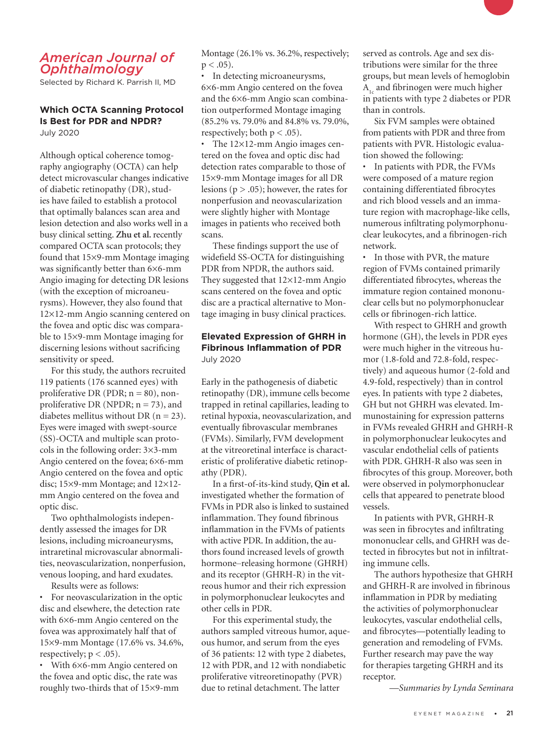# *American Journal of Ophthalmology*

Selected by Richard K. Parrish II, MD

#### **Which OCTA Scanning Protocol Is Best for PDR and NPDR?** July 2020

Although optical coherence tomography angiography (OCTA) can help detect microvascular changes indicative of diabetic retinopathy (DR), studies have failed to establish a protocol that optimally balances scan area and lesion detection and also works well in a busy clinical setting. **Zhu et al.** recently compared OCTA scan protocols; they found that 15×9-mm Montage imaging was significantly better than 6×6-mm Angio imaging for detecting DR lesions (with the exception of microaneurysms). However, they also found that 12×12-mm Angio scanning centered on the fovea and optic disc was comparable to 15×9-mm Montage imaging for discerning lesions without sacrificing sensitivity or speed.

For this study, the authors recruited 119 patients (176 scanned eyes) with proliferative DR (PDR;  $n = 80$ ), nonproliferative DR (NPDR;  $n = 73$ ), and diabetes mellitus without DR  $(n = 23)$ . Eyes were imaged with swept-source (SS)-OCTA and multiple scan protocols in the following order: 3×3-mm Angio centered on the fovea; 6×6-mm Angio centered on the fovea and optic disc; 15×9-mm Montage; and 12×12mm Angio centered on the fovea and optic disc.

Two ophthalmologists independently assessed the images for DR lesions, including microaneurysms, intraretinal microvascular abnormalities, neovascularization, nonperfusion, venous looping, and hard exudates.

Results were as follows:

• For neovascularization in the optic disc and elsewhere, the detection rate with 6×6-mm Angio centered on the fovea was approximately half that of 15×9-mm Montage (17.6% vs. 34.6%, respectively;  $p < .05$ ).

• With 6×6-mm Angio centered on the fovea and optic disc, the rate was roughly two-thirds that of 15×9-mm Montage (26.1% vs. 36.2%, respectively;  $p < .05$ ).

• In detecting microaneurysms, 6×6-mm Angio centered on the fovea and the 6×6-mm Angio scan combination outperformed Montage imaging (85.2% vs. 79.0% and 84.8% vs. 79.0%, respectively; both  $p < .05$ ).

• The 12×12-mm Angio images centered on the fovea and optic disc had detection rates comparable to those of 15×9-mm Montage images for all DR lesions ( $p > .05$ ); however, the rates for nonperfusion and neovascularization were slightly higher with Montage images in patients who received both scans.

These findings support the use of widefield SS-OCTA for distinguishing PDR from NPDR, the authors said. They suggested that 12×12-mm Angio scans centered on the fovea and optic disc are a practical alternative to Montage imaging in busy clinical practices.

## **Elevated Expression of GHRH in Fibrinous Inflammation of PDR** July 2020

Early in the pathogenesis of diabetic retinopathy (DR), immune cells become trapped in retinal capillaries, leading to retinal hypoxia, neovascularization, and eventually fibrovascular membranes (FVMs). Similarly, FVM development at the vitreoretinal interface is characteristic of proliferative diabetic retinopathy (PDR).

In a first-of-its-kind study, **Qin et al.**  investigated whether the formation of FVMs in PDR also is linked to sustained inflammation. They found fibrinous inflammation in the FVMs of patients with active PDR. In addition, the authors found increased levels of growth hormone-releasing hormone (GHRH) and its receptor (GHRH-R) in the vitreous humor and their rich expression in polymorphonuclear leukocytes and other cells in PDR.

For this experimental study, the authors sampled vitreous humor, aqueous humor, and serum from the eyes of 36 patients: 12 with type 2 diabetes, 12 with PDR, and 12 with nondiabetic proliferative vitreoretinopathy (PVR) due to retinal detachment. The latter

served as controls. Age and sex distributions were similar for the three groups, but mean levels of hemoglobin  $A<sub>1c</sub>$  and fibrinogen were much higher in patients with type 2 diabetes or PDR than in controls.

Six FVM samples were obtained from patients with PDR and three from patients with PVR. Histologic evaluation showed the following:

In patients with PDR, the FVMs were composed of a mature region containing differentiated fibrocytes and rich blood vessels and an immature region with macrophage-like cells, numerous infiltrating polymorphonuclear leukocytes, and a fibrinogen-rich network.

• In those with PVR, the mature region of FVMs contained primarily differentiated fibrocytes, whereas the immature region contained mononuclear cells but no polymorphonuclear cells or fibrinogen-rich lattice.

With respect to GHRH and growth hormone (GH), the levels in PDR eyes were much higher in the vitreous humor (1.8-fold and 72.8-fold, respectively) and aqueous humor (2-fold and 4.9-fold, respectively) than in control eyes. In patients with type 2 diabetes, GH but not GHRH was elevated. Immunostaining for expression patterns in FVMs revealed GHRH and GHRH-R in polymorphonuclear leukocytes and vascular endothelial cells of patients with PDR. GHRH-R also was seen in fibrocytes of this group. Moreover, both were observed in polymorphonuclear cells that appeared to penetrate blood vessels.

In patients with PVR, GHRH-R was seen in fibrocytes and infiltrating mononuclear cells, and GHRH was detected in fibrocytes but not in infiltrating immune cells.

The authors hypothesize that GHRH and GHRH-R are involved in fibrinous inflammation in PDR by mediating the activities of polymorphonuclear leukocytes, vascular endothelial cells, and fibrocytes—potentially leading to generation and remodeling of FVMs. Further research may pave the way for therapies targeting GHRH and its receptor.

*—Summaries by Lynda Seminara*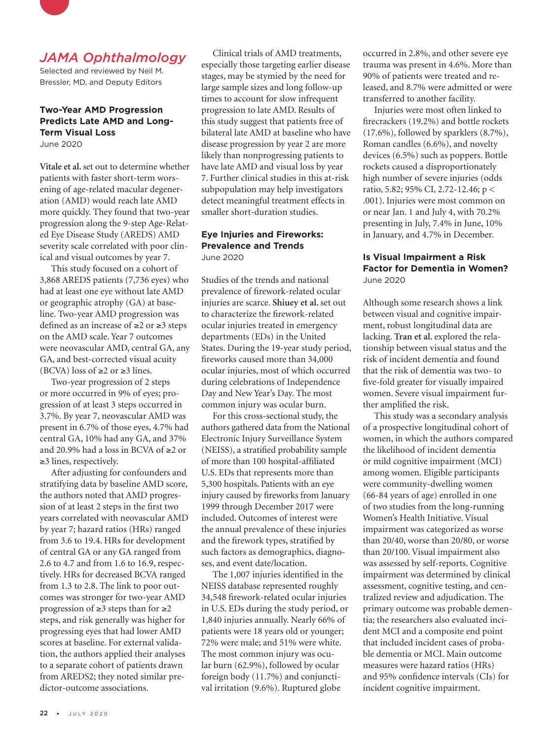

# *JAMA Ophthalmology*

Selected and reviewed by Neil M. Bressler, MD, and Deputy Editors

# **Two-Year AMD Progression Predicts Late AMD and Long-Term Visual Loss**

June 2020

**Vitale et al.** set out to determine whether patients with faster short-term worsening of age-related macular degeneration (AMD) would reach late AMD more quickly. They found that two-year progression along the 9-step Age-Related Eye Disease Study (AREDS) AMD severity scale correlated with poor clinical and visual outcomes by year 7.

This study focused on a cohort of 3,868 AREDS patients (7,736 eyes) who had at least one eye without late AMD or geographic atrophy (GA) at baseline. Two-year AMD progression was defined as an increase of ≥2 or ≥3 steps on the AMD scale. Year 7 outcomes were neovascular AMD, central GA, any GA, and best-corrected visual acuity (BCVA) loss of  $\geq 2$  or  $\geq 3$  lines.

Two-year progression of 2 steps or more occurred in 9% of eyes; progression of at least 3 steps occurred in 3.7%. By year 7, neovascular AMD was present in 6.7% of those eyes, 4.7% had central GA, 10% had any GA, and 37% and 20.9% had a loss in BCVA of ≥2 or ≥3 lines, respectively.

After adjusting for confounders and stratifying data by baseline AMD score, the authors noted that AMD progression of at least 2 steps in the first two years correlated with neovascular AMD by year 7; hazard ratios (HRs) ranged from 3.6 to 19.4. HRs for development of central GA or any GA ranged from 2.6 to 4.7 and from 1.6 to 16.9, respectively. HRs for decreased BCVA ranged from 1.3 to 2.8. The link to poor outcomes was stronger for two-year AMD progression of ≥3 steps than for ≥2 steps, and risk generally was higher for progressing eyes that had lower AMD scores at baseline. For external validation, the authors applied their analyses to a separate cohort of patients drawn from AREDS2; they noted similar predictor-outcome associations.

Clinical trials of AMD treatments, especially those targeting earlier disease stages, may be stymied by the need for large sample sizes and long follow-up times to account for slow infrequent progression to late AMD. Results of this study suggest that patients free of bilateral late AMD at baseline who have disease progression by year 2 are more likely than nonprogressing patients to have late AMD and visual loss by year 7. Further clinical studies in this at-risk subpopulation may help investigators detect meaningful treatment effects in smaller short-duration studies.

#### **Eye Injuries and Fireworks: Prevalence and Trends** June 2020

Studies of the trends and national prevalence of firework-related ocular injuries are scarce. **Shiuey et al.** set out to characterize the firework-related ocular injuries treated in emergency departments (EDs) in the United States. During the 19-year study period, fireworks caused more than 34,000 ocular injuries, most of which occurred during celebrations of Independence Day and New Year's Day. The most common injury was ocular burn.

For this cross-sectional study, the authors gathered data from the National Electronic Injury Surveillance System (NEISS), a stratified probability sample of more than 100 hospital-affiliated U.S. EDs that represents more than 5,300 hospitals. Patients with an eye injury caused by fireworks from January 1999 through December 2017 were included. Outcomes of interest were the annual prevalence of these injuries and the firework types, stratified by such factors as demographics, diagnoses, and event date/location.

The 1,007 injuries identified in the NEISS database represented roughly 34,548 firework-related ocular injuries in U.S. EDs during the study period, or 1,840 injuries annually. Nearly 66% of patients were 18 years old or younger; 72% were male; and 51% were white. The most common injury was ocular burn (62.9%), followed by ocular foreign body (11.7%) and conjunctival irritation (9.6%). Ruptured globe

occurred in 2.8%, and other severe eye trauma was present in 4.6%. More than 90% of patients were treated and released, and 8.7% were admitted or were transferred to another facility.

Injuries were most often linked to firecrackers (19.2%) and bottle rockets (17.6%), followed by sparklers (8.7%), Roman candles (6.6%), and novelty devices (6.5%) such as poppers. Bottle rockets caused a disproportionately high number of severe injuries (odds ratio, 5.82; 95% CI, 2.72-12.46; p < .001). Injuries were most common on or near Jan. 1 and July 4, with 70.2% presenting in July, 7.4% in June, 10% in January, and 4.7% in December.

### **Is Visual Impairment a Risk Factor for Dementia in Women?** June 2020

Although some research shows a link between visual and cognitive impairment, robust longitudinal data are lacking. **Tran et al.** explored the relationship between visual status and the risk of incident dementia and found that the risk of dementia was two- to five-fold greater for visually impaired women. Severe visual impairment further amplified the risk.

This study was a secondary analysis of a prospective longitudinal cohort of women, in which the authors compared the likelihood of incident dementia or mild cognitive impairment (MCI) among women. Eligible participants were community-dwelling women (66-84 years of age) enrolled in one of two studies from the long-running Women's Health Initiative. Visual impairment was categorized as worse than 20/40, worse than 20/80, or worse than 20/100. Visual impairment also was assessed by self-reports. Cognitive impairment was determined by clinical assessment, cognitive testing, and centralized review and adjudication. The primary outcome was probable dementia; the researchers also evaluated incident MCI and a composite end point that included incident cases of probable dementia or MCI. Main outcome measures were hazard ratios (HRs) and 95% confidence intervals (CIs) for incident cognitive impairment.